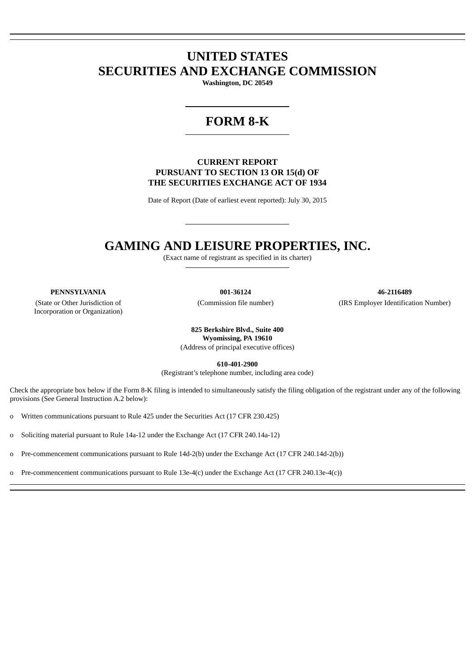# **UNITED STATES SECURITIES AND EXCHANGE COMMISSION**

**Washington, DC 20549**

# **FORM 8-K**

# **CURRENT REPORT PURSUANT TO SECTION 13 OR 15(d) OF THE SECURITIES EXCHANGE ACT OF 1934**

Date of Report (Date of earliest event reported): July 30, 2015

# **GAMING AND LEISURE PROPERTIES, INC.**

(Exact name of registrant as specified in its charter)

(State or Other Jurisdiction of Incorporation or Organization)

**PENNSYLVANIA 001-36124 46-2116489** (Commission file number) (IRS Employer Identification Number)

> **825 Berkshire Blvd., Suite 400 Wyomissing, PA 19610** (Address of principal executive offices)

> > **610-401-2900**

(Registrant's telephone number, including area code)

Check the appropriate box below if the Form 8-K filing is intended to simultaneously satisfy the filing obligation of the registrant under any of the following provisions (See General Instruction A.2 below):

o Written communications pursuant to Rule 425 under the Securities Act (17 CFR 230.425)

o Soliciting material pursuant to Rule 14a-12 under the Exchange Act (17 CFR 240.14a-12)

o Pre-commencement communications pursuant to Rule 14d-2(b) under the Exchange Act (17 CFR 240.14d-2(b))

o Pre-commencement communications pursuant to Rule 13e-4(c) under the Exchange Act (17 CFR 240.13e-4(c))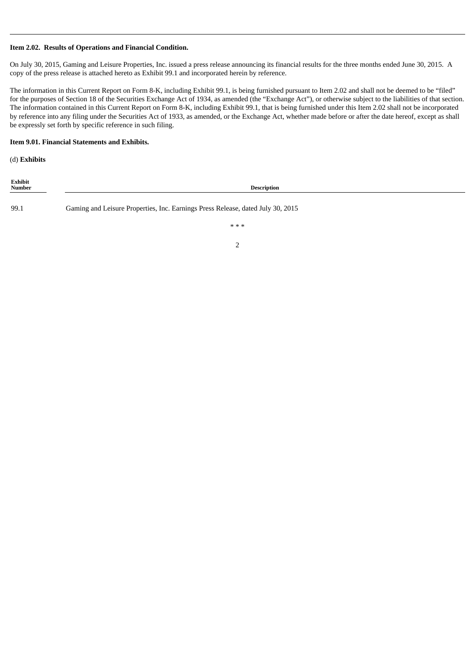# **Item 2.02. Results of Operations and Financial Condition.**

On July 30, 2015, Gaming and Leisure Properties, Inc. issued a press release announcing its financial results for the three months ended June 30, 2015. A copy of the press release is attached hereto as Exhibit 99.1 and incorporated herein by reference.

The information in this Current Report on Form 8-K, including Exhibit 99.1, is being furnished pursuant to Item 2.02 and shall not be deemed to be "filed" for the purposes of Section 18 of the Securities Exchange Act of 1934, as amended (the "Exchange Act"), or otherwise subject to the liabilities of that section. The information contained in this Current Report on Form 8-K, including Exhibit 99.1, that is being furnished under this Item 2.02 shall not be incorporated by reference into any filing under the Securities Act of 1933, as amended, or the Exchange Act, whether made before or after the date hereof, except as shall be expressly set forth by specific reference in such filing.

#### **Item 9.01. Financial Statements and Exhibits.**

(d) **Exhibits**

| Exhibit<br>Number | <b>Description</b>                                                              |  |  |  |  |  |  |
|-------------------|---------------------------------------------------------------------------------|--|--|--|--|--|--|
| 99.1              | Gaming and Leisure Properties, Inc. Earnings Press Release, dated July 30, 2015 |  |  |  |  |  |  |
|                   | ***                                                                             |  |  |  |  |  |  |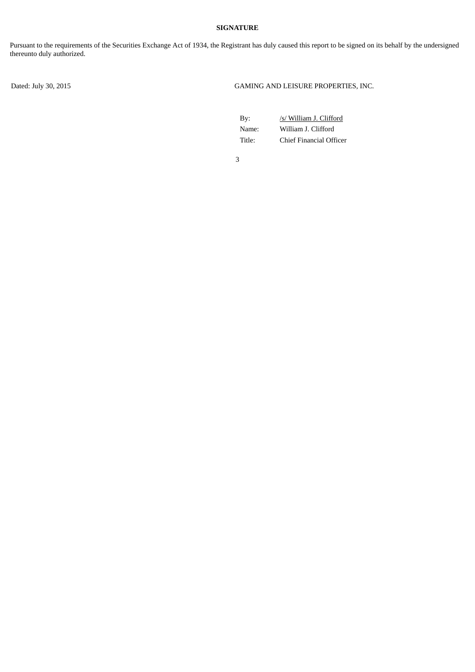# **SIGNATURE**

Pursuant to the requirements of the Securities Exchange Act of 1934, the Registrant has duly caused this report to be signed on its behalf by the undersigned thereunto duly authorized.

Dated: July 30, 2015 GAMING AND LEISURE PROPERTIES, INC.

| Bv:    | /s/ William J. Clifford |
|--------|-------------------------|
| Name:  | William J. Clifford     |
| Title: | Chief Financial Officer |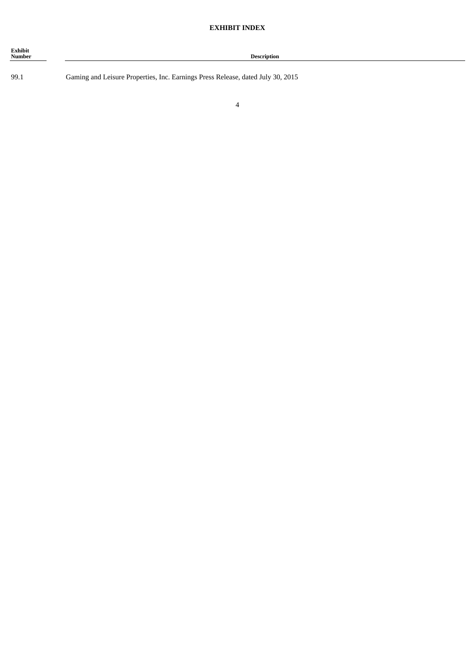| Exhibit<br><b>Number</b> | <b>Description</b> |
|--------------------------|--------------------|
|                          |                    |

99.1 Gaming and Leisure Properties, Inc. Earnings Press Release, dated July 30, 2015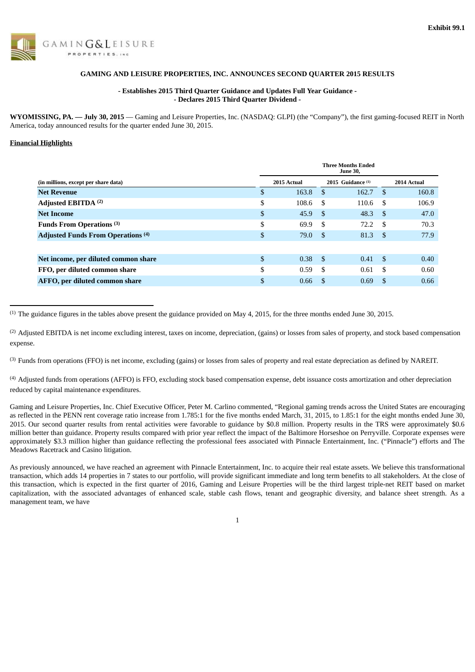

# **GAMING AND LEISURE PROPERTIES, INC. ANNOUNCES SECOND QUARTER 2015 RESULTS**

### **- Establishes 2015 Third Quarter Guidance and Updates Full Year Guidance - - Declares 2015 Third Quarter Dividend -**

**WYOMISSING, PA. — July 30, 2015** — Gaming and Leisure Properties, Inc. (NASDAQ: GLPI) (the "Company"), the first gaming-focused REIT in North America, today announced results for the quarter ended June 30, 2015.

#### **Financial Highlights**

|                                           | <b>Three Months Ended</b><br><b>June 30,</b> |             |     |                     |      |             |  |  |  |  |
|-------------------------------------------|----------------------------------------------|-------------|-----|---------------------|------|-------------|--|--|--|--|
| (in millions, except per share data)      |                                              | 2015 Actual |     | 2015 Guidance $(1)$ |      | 2014 Actual |  |  |  |  |
| <b>Net Revenue</b>                        | \$                                           | 163.8       | -S  | 162.7               | - \$ | 160.8       |  |  |  |  |
| Adjusted EBITDA <sup>(2)</sup>            | \$                                           | 108.6       | -\$ | 110.6               | - \$ | 106.9       |  |  |  |  |
| <b>Net Income</b>                         | \$                                           | 45.9        | -S  | 48.3                | - \$ | 47.0        |  |  |  |  |
| Funds From Operations <sup>(3)</sup>      | \$                                           | 69.9        | -S  | 72.2                | - \$ | 70.3        |  |  |  |  |
| <b>Adjusted Funds From Operations (4)</b> | \$                                           | 79.0        | -S  | 81.3                | - \$ | 77.9        |  |  |  |  |
|                                           |                                              |             |     |                     |      |             |  |  |  |  |
| Net income, per diluted common share      | \$                                           | 0.38        | -\$ | 0.41                | - \$ | 0.40        |  |  |  |  |
| FFO, per diluted common share             | \$                                           | 0.59        | -\$ | 0.61                | - \$ | 0.60        |  |  |  |  |
| AFFO, per diluted common share            | \$                                           | 0.66        | -S  | 0.69                | -S   | 0.66        |  |  |  |  |

 $<sup>(1)</sup>$  The guidance figures in the tables above present the guidance provided on May 4, 2015, for the three months ended June 30, 2015.</sup>

<sup>(2)</sup> Adjusted EBITDA is net income excluding interest, taxes on income, depreciation, (gains) or losses from sales of property, and stock based compensation expense.

<sup>(3)</sup> Funds from operations (FFO) is net income, excluding (gains) or losses from sales of property and real estate depreciation as defined by NAREIT.

<sup>(4)</sup> Adjusted funds from operations (AFFO) is FFO, excluding stock based compensation expense, debt issuance costs amortization and other depreciation reduced by capital maintenance expenditures.

Gaming and Leisure Properties, Inc. Chief Executive Officer, Peter M. Carlino commented, "Regional gaming trends across the United States are encouraging as reflected in the PENN rent coverage ratio increase from 1.785:1 for the five months ended March, 31, 2015, to 1.85:1 for the eight months ended June 30, 2015. Our second quarter results from rental activities were favorable to guidance by \$0.8 million. Property results in the TRS were approximately \$0.6 million better than guidance. Property results compared with prior year reflect the impact of the Baltimore Horseshoe on Perryville. Corporate expenses were approximately \$3.3 million higher than guidance reflecting the professional fees associated with Pinnacle Entertainment, Inc. ("Pinnacle") efforts and The Meadows Racetrack and Casino litigation.

As previously announced, we have reached an agreement with Pinnacle Entertainment, Inc. to acquire their real estate assets. We believe this transformational transaction, which adds 14 properties in 7 states to our portfolio, will provide significant immediate and long term benefits to all stakeholders. At the close of this transaction, which is expected in the first quarter of 2016, Gaming and Leisure Properties will be the third largest triple-net REIT based on market capitalization, with the associated advantages of enhanced scale, stable cash flows, tenant and geographic diversity, and balance sheet strength. As a management team, we have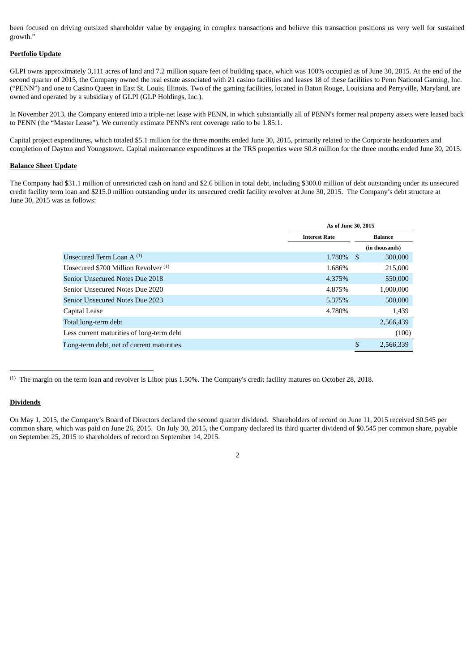been focused on driving outsized shareholder value by engaging in complex transactions and believe this transaction positions us very well for sustained growth."

#### **Portfolio Update**

GLPI owns approximately 3,111 acres of land and 7.2 million square feet of building space, which was 100% occupied as of June 30, 2015. At the end of the second quarter of 2015, the Company owned the real estate associated with 21 casino facilities and leases 18 of these facilities to Penn National Gaming, Inc. ("PENN") and one to Casino Queen in East St. Louis, Illinois. Two of the gaming facilities, located in Baton Rouge, Louisiana and Perryville, Maryland, are owned and operated by a subsidiary of GLPI (GLP Holdings, Inc.).

In November 2013, the Company entered into a triple-net lease with PENN, in which substantially all of PENN's former real property assets were leased back to PENN (the "Master Lease"). We currently estimate PENN's rent coverage ratio to be 1.85:1.

Capital project expenditures, which totaled \$5.1 million for the three months ended June 30, 2015, primarily related to the Corporate headquarters and completion of Dayton and Youngstown. Capital maintenance expenditures at the TRS properties were \$0.8 million for the three months ended June 30, 2015.

#### **Balance Sheet Update**

The Company had \$31.1 million of unrestricted cash on hand and \$2.6 billion in total debt, including \$300.0 million of debt outstanding under its unsecured credit facility term loan and \$215.0 million outstanding under its unsecured credit facility revolver at June 30, 2015. The Company's debt structure at June 30, 2015 was as follows:

|                                           | As of June 30, 2015  |    |                |  |  |  |  |  |
|-------------------------------------------|----------------------|----|----------------|--|--|--|--|--|
|                                           | <b>Interest Rate</b> |    | <b>Balance</b> |  |  |  |  |  |
|                                           |                      |    | (in thousands) |  |  |  |  |  |
| Unsecured Term Loan $A^{(1)}$             | 1.780\% \$           |    | 300,000        |  |  |  |  |  |
| Unsecured \$700 Million Revolver (1)      | 1.686%               |    | 215,000        |  |  |  |  |  |
| Senior Unsecured Notes Due 2018           | 4.375%               |    | 550,000        |  |  |  |  |  |
| Senior Unsecured Notes Due 2020           | 4.875%               |    | 1,000,000      |  |  |  |  |  |
| Senior Unsecured Notes Due 2023           | 5.375%               |    | 500,000        |  |  |  |  |  |
| Capital Lease                             | 4.780%               |    | 1,439          |  |  |  |  |  |
| Total long-term debt                      |                      |    | 2,566,439      |  |  |  |  |  |
| Less current maturities of long-term debt |                      |    | (100)          |  |  |  |  |  |
| Long-term debt, net of current maturities |                      | \$ | 2,566,339      |  |  |  |  |  |

 $(1)$  The margin on the term loan and revolver is Libor plus 1.50%. The Company's credit facility matures on October 28, 2018.

#### **Dividends**

On May 1, 2015, the Company's Board of Directors declared the second quarter dividend. Shareholders of record on June 11, 2015 received \$0.545 per common share, which was paid on June 26, 2015. On July 30, 2015, the Company declared its third quarter dividend of \$0.545 per common share, payable on September 25, 2015 to shareholders of record on September 14, 2015.

<sup>2</sup>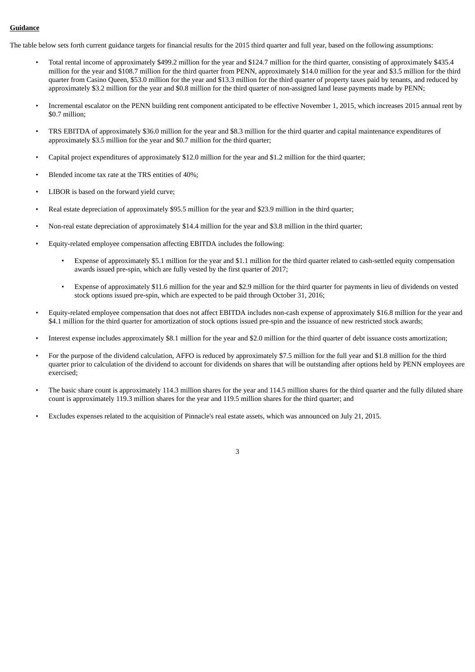# **Guidance**

The table below sets forth current guidance targets for financial results for the 2015 third quarter and full year, based on the following assumptions:

- Total rental income of approximately \$499.2 million for the year and \$124.7 million for the third quarter, consisting of approximately \$435.4 million for the year and \$108.7 million for the third quarter from PENN, approximately \$14.0 million for the year and \$3.5 million for the third quarter from Casino Queen, \$53.0 million for the year and \$13.3 million for the third quarter of property taxes paid by tenants, and reduced by approximately \$3.2 million for the year and \$0.8 million for the third quarter of non-assigned land lease payments made by PENN;
- Incremental escalator on the PENN building rent component anticipated to be effective November 1, 2015, which increases 2015 annual rent by \$0.7 million;
- TRS EBITDA of approximately \$36.0 million for the year and \$8.3 million for the third quarter and capital maintenance expenditures of approximately \$3.5 million for the year and \$0.7 million for the third quarter;
- Capital project expenditures of approximately \$12.0 million for the year and \$1.2 million for the third quarter;
- Blended income tax rate at the TRS entities of 40%;
- LIBOR is based on the forward yield curve;
- Real estate depreciation of approximately \$95.5 million for the year and \$23.9 million in the third quarter;
- Non-real estate depreciation of approximately \$14.4 million for the year and \$3.8 million in the third quarter;
- Equity-related employee compensation affecting EBITDA includes the following:
	- Expense of approximately \$5.1 million for the year and \$1.1 million for the third quarter related to cash-settled equity compensation awards issued pre-spin, which are fully vested by the first quarter of 2017;
	- Expense of approximately \$11.6 million for the year and \$2.9 million for the third quarter for payments in lieu of dividends on vested stock options issued pre-spin, which are expected to be paid through October 31, 2016;
- Equity-related employee compensation that does not affect EBITDA includes non-cash expense of approximately \$16.8 million for the year and \$4.1 million for the third quarter for amortization of stock options issued pre-spin and the issuance of new restricted stock awards;
- Interest expense includes approximately \$8.1 million for the year and \$2.0 million for the third quarter of debt issuance costs amortization;
- For the purpose of the dividend calculation, AFFO is reduced by approximately \$7.5 million for the full year and \$1.8 million for the third quarter prior to calculation of the dividend to account for dividends on shares that will be outstanding after options held by PENN employees are exercised;
- The basic share count is approximately 114.3 million shares for the year and 114.5 million shares for the third quarter and the fully diluted share count is approximately 119.3 million shares for the year and 119.5 million shares for the third quarter; and
- Excludes expenses related to the acquisition of Pinnacle's real estate assets, which was announced on July 21, 2015.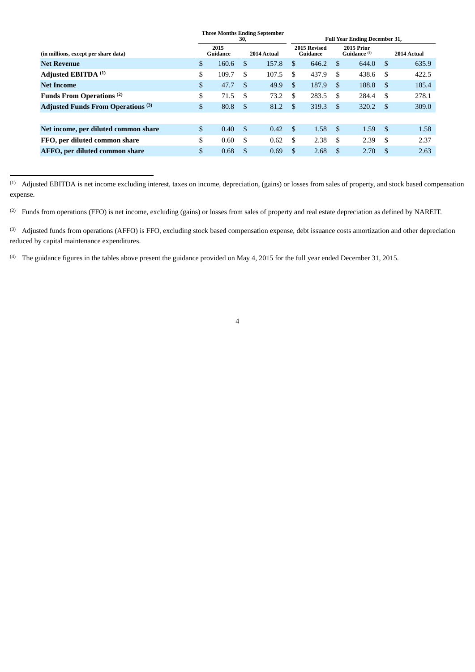|                                           |                |                  | 30, | <b>Three Months Ending September</b> | <b>Full Year Ending December 31,</b> |                          |                                       |       |      |             |  |
|-------------------------------------------|----------------|------------------|-----|--------------------------------------|--------------------------------------|--------------------------|---------------------------------------|-------|------|-------------|--|
| (in millions, except per share data)      |                | 2015<br>Guidance |     | 2014 Actual                          |                                      | 2015 Revised<br>Guidance | 2015 Prior<br>Guidance <sup>(4)</sup> |       |      | 2014 Actual |  |
| <b>Net Revenue</b>                        | $\mathfrak{S}$ | 160.6            | \$. | 157.8                                | \$.                                  | 646.2                    | -S                                    | 644.0 | - \$ | 635.9       |  |
| Adjusted EBITDA (1)                       | \$             | 109.7            | £.  | 107.5                                | \$                                   | 437.9                    | £.                                    | 438.6 | -S   | 422.5       |  |
| <b>Net Income</b>                         | \$             | 47.7             | -\$ | 49.9                                 | \$.                                  | 187.9                    | \$.                                   | 188.8 | -\$  | 185.4       |  |
| Funds From Operations <sup>(2)</sup>      | \$             | 71.5             | \$. | 73.2                                 | \$.                                  | 283.5                    | \$                                    | 284.4 | -S   | 278.1       |  |
| <b>Adjusted Funds From Operations</b> (3) | \$             | 80.8             | -S  | 81.2                                 | \$.                                  | 319.3                    | \$                                    | 320.2 | -\$  | 309.0       |  |
|                                           |                |                  |     |                                      |                                      |                          |                                       |       |      |             |  |
| Net income, per diluted common share      | \$             | 0.40             | S   | 0.42                                 | <sup>\$</sup>                        | 1.58                     | -\$                                   | 1.59  | -\$  | 1.58        |  |
| FFO, per diluted common share             | \$             | 0.60             | \$. | 0.62                                 | \$                                   | 2.38                     | \$                                    | 2.39  | - \$ | 2.37        |  |
| AFFO, per diluted common share            | \$             | 0.68             | \$. | 0.69                                 | \$.                                  | 2.68                     | <sup>\$</sup>                         | 2.70  | -S   | 2.63        |  |

 $<sup>(1)</sup>$  Adjusted EBITDA is net income excluding interest, taxes on income, depreciation, (gains) or losses from sales of property, and stock based compensation</sup> expense.

<sup>(2)</sup> Funds from operations (FFO) is net income, excluding (gains) or losses from sales of property and real estate depreciation as defined by NAREIT.

<sup>(3)</sup> Adjusted funds from operations (AFFO) is FFO, excluding stock based compensation expense, debt issuance costs amortization and other depreciation reduced by capital maintenance expenditures.

<sup>(4)</sup> The guidance figures in the tables above present the guidance provided on May 4, 2015 for the full year ended December 31, 2015.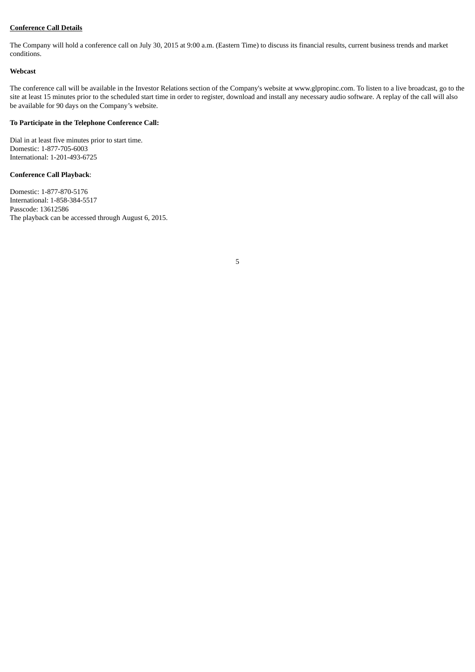# **Conference Call Details**

The Company will hold a conference call on July 30, 2015 at 9:00 a.m. (Eastern Time) to discuss its financial results, current business trends and market conditions.

#### **Webcast**

The conference call will be available in the Investor Relations section of the Company's website at www.glpropinc.com. To listen to a live broadcast, go to the site at least 15 minutes prior to the scheduled start time in order to register, download and install any necessary audio software. A replay of the call will also be available for 90 days on the Company's website.

#### **To Participate in the Telephone Conference Call:**

Dial in at least five minutes prior to start time. Domestic: 1-877-705-6003 International: 1-201-493-6725

## **Conference Call Playback**:

Domestic: 1-877-870-5176 International: 1-858-384-5517 Passcode: 13612586 The playback can be accessed through August 6, 2015.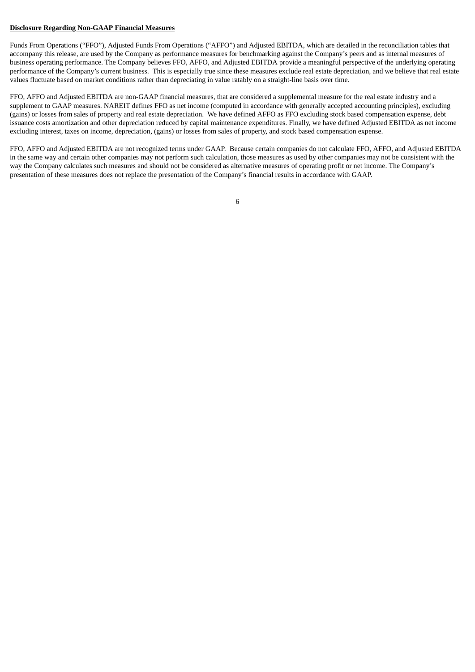#### **Disclosure Regarding Non-GAAP Financial Measures**

Funds From Operations ("FFO"), Adjusted Funds From Operations ("AFFO") and Adjusted EBITDA, which are detailed in the reconciliation tables that accompany this release, are used by the Company as performance measures for benchmarking against the Company's peers and as internal measures of business operating performance. The Company believes FFO, AFFO, and Adjusted EBITDA provide a meaningful perspective of the underlying operating performance of the Company's current business. This is especially true since these measures exclude real estate depreciation, and we believe that real estate values fluctuate based on market conditions rather than depreciating in value ratably on a straight-line basis over time.

FFO, AFFO and Adjusted EBITDA are non-GAAP financial measures, that are considered a supplemental measure for the real estate industry and a supplement to GAAP measures. NAREIT defines FFO as net income (computed in accordance with generally accepted accounting principles), excluding (gains) or losses from sales of property and real estate depreciation. We have defined AFFO as FFO excluding stock based compensation expense, debt issuance costs amortization and other depreciation reduced by capital maintenance expenditures. Finally, we have defined Adjusted EBITDA as net income excluding interest, taxes on income, depreciation, (gains) or losses from sales of property, and stock based compensation expense.

FFO, AFFO and Adjusted EBITDA are not recognized terms under GAAP. Because certain companies do not calculate FFO, AFFO, and Adjusted EBITDA in the same way and certain other companies may not perform such calculation, those measures as used by other companies may not be consistent with the way the Company calculates such measures and should not be considered as alternative measures of operating profit or net income. The Company's presentation of these measures does not replace the presentation of the Company's financial results in accordance with GAAP.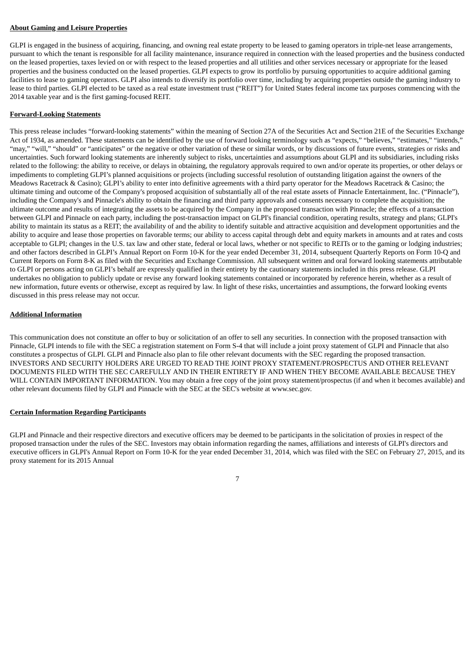#### **About Gaming and Leisure Properties**

GLPI is engaged in the business of acquiring, financing, and owning real estate property to be leased to gaming operators in triple-net lease arrangements, pursuant to which the tenant is responsible for all facility maintenance, insurance required in connection with the leased properties and the business conducted on the leased properties, taxes levied on or with respect to the leased properties and all utilities and other services necessary or appropriate for the leased properties and the business conducted on the leased properties. GLPI expects to grow its portfolio by pursuing opportunities to acquire additional gaming facilities to lease to gaming operators. GLPI also intends to diversify its portfolio over time, including by acquiring properties outside the gaming industry to lease to third parties. GLPI elected to be taxed as a real estate investment trust ("REIT") for United States federal income tax purposes commencing with the 2014 taxable year and is the first gaming-focused REIT.

#### **Forward-Looking Statements**

This press release includes "forward-looking statements" within the meaning of Section 27A of the Securities Act and Section 21E of the Securities Exchange Act of 1934, as amended. These statements can be identified by the use of forward looking terminology such as "expects," "believes," "estimates," "intends," "may," "will," "should" or "anticipates" or the negative or other variation of these or similar words, or by discussions of future events, strategies or risks and uncertainties. Such forward looking statements are inherently subject to risks, uncertainties and assumptions about GLPI and its subsidiaries, including risks related to the following: the ability to receive, or delays in obtaining, the regulatory approvals required to own and/or operate its properties, or other delays or impediments to completing GLPI's planned acquisitions or projects (including successful resolution of outstanding litigation against the owners of the Meadows Racetrack & Casino); GLPI's ability to enter into definitive agreements with a third party operator for the Meadows Racetrack & Casino; the ultimate timing and outcome of the Company's proposed acquisition of substantially all of the real estate assets of Pinnacle Entertainment, Inc. ("Pinnacle"), including the Company's and Pinnacle's ability to obtain the financing and third party approvals and consents necessary to complete the acquisition; the ultimate outcome and results of integrating the assets to be acquired by the Company in the proposed transaction with Pinnacle; the effects of a transaction between GLPI and Pinnacle on each party, including the post-transaction impact on GLPI's financial condition, operating results, strategy and plans; GLPI's ability to maintain its status as a REIT; the availability of and the ability to identify suitable and attractive acquisition and development opportunities and the ability to acquire and lease those properties on favorable terms; our ability to access capital through debt and equity markets in amounts and at rates and costs acceptable to GLPI; changes in the U.S. tax law and other state, federal or local laws, whether or not specific to REITs or to the gaming or lodging industries; and other factors described in GLPI's Annual Report on Form 10-K for the year ended December 31, 2014, subsequent Quarterly Reports on Form 10-Q and Current Reports on Form 8-K as filed with the Securities and Exchange Commission. All subsequent written and oral forward looking statements attributable to GLPI or persons acting on GLPI's behalf are expressly qualified in their entirety by the cautionary statements included in this press release. GLPI undertakes no obligation to publicly update or revise any forward looking statements contained or incorporated by reference herein, whether as a result of new information, future events or otherwise, except as required by law. In light of these risks, uncertainties and assumptions, the forward looking events discussed in this press release may not occur.

#### **Additional Information**

This communication does not constitute an offer to buy or solicitation of an offer to sell any securities. In connection with the proposed transaction with Pinnacle, GLPI intends to file with the SEC a registration statement on Form S-4 that will include a joint proxy statement of GLPI and Pinnacle that also constitutes a prospectus of GLPI. GLPI and Pinnacle also plan to file other relevant documents with the SEC regarding the proposed transaction. INVESTORS AND SECURITY HOLDERS ARE URGED TO READ THE JOINT PROXY STATEMENT/PROSPECTUS AND OTHER RELEVANT DOCUMENTS FILED WITH THE SEC CAREFULLY AND IN THEIR ENTIRETY IF AND WHEN THEY BECOME AVAILABLE BECAUSE THEY WILL CONTAIN IMPORTANT INFORMATION. You may obtain a free copy of the joint proxy statement/prospectus (if and when it becomes available) and other relevant documents filed by GLPI and Pinnacle with the SEC at the SEC's website at www.sec.gov.

#### **Certain Information Regarding Participants**

GLPI and Pinnacle and their respective directors and executive officers may be deemed to be participants in the solicitation of proxies in respect of the proposed transaction under the rules of the SEC. Investors may obtain information regarding the names, affiliations and interests of GLPI's directors and executive officers in GLPI's Annual Report on Form 10-K for the year ended December 31, 2014, which was filed with the SEC on February 27, 2015, and its proxy statement for its 2015 Annual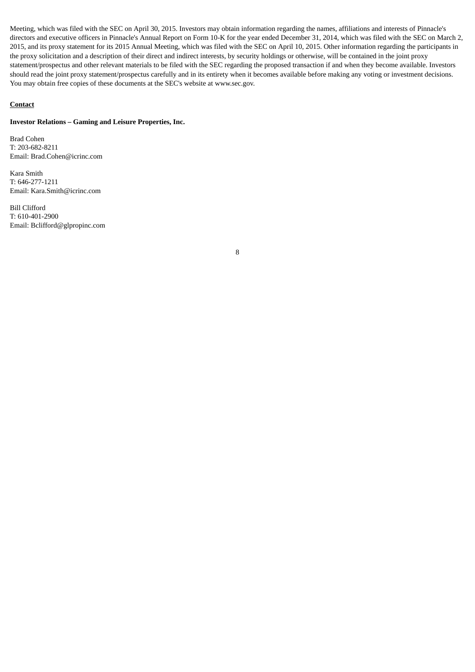Meeting, which was filed with the SEC on April 30, 2015. Investors may obtain information regarding the names, affiliations and interests of Pinnacle's directors and executive officers in Pinnacle's Annual Report on Form 10-K for the year ended December 31, 2014, which was filed with the SEC on March 2, 2015, and its proxy statement for its 2015 Annual Meeting, which was filed with the SEC on April 10, 2015. Other information regarding the participants in the proxy solicitation and a description of their direct and indirect interests, by security holdings or otherwise, will be contained in the joint proxy statement/prospectus and other relevant materials to be filed with the SEC regarding the proposed transaction if and when they become available. Investors should read the joint proxy statement/prospectus carefully and in its entirety when it becomes available before making any voting or investment decisions. You may obtain free copies of these documents at the SEC's website at www.sec.gov.

#### **Contact**

#### **Investor Relations – Gaming and Leisure Properties, Inc.**

Brad Cohen T: 203-682-8211 Email: Brad.Cohen@icrinc.com

Kara Smith T: 646-277-1211 Email: Kara.Smith@icrinc.com

Bill Clifford T: 610-401-2900 Email: Bclifford@glpropinc.com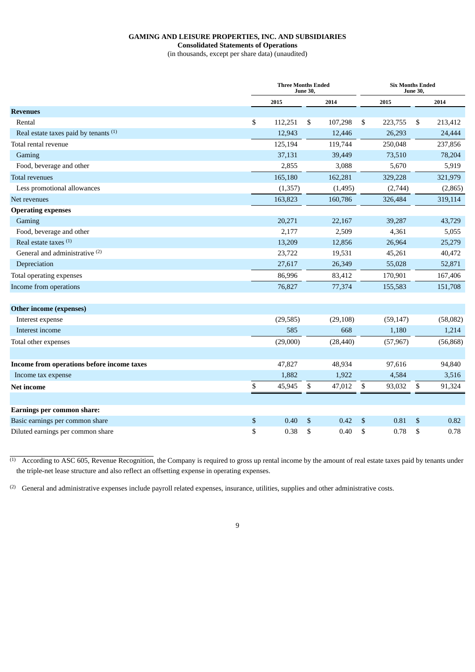# **GAMING AND LEISURE PROPERTIES, INC. AND SUBSIDIARIES**

**Consolidated Statements of Operations**

(in thousands, except per share data) (unaudited)

|                                            |      | <b>Three Months Ended</b><br><b>June 30,</b> |    |           |    |           | <b>Six Months Ended</b><br><b>June 30,</b> |           |  |  |
|--------------------------------------------|------|----------------------------------------------|----|-----------|----|-----------|--------------------------------------------|-----------|--|--|
|                                            |      | 2015                                         |    | 2014      |    | 2015      |                                            | 2014      |  |  |
| <b>Revenues</b>                            |      |                                              |    |           |    |           |                                            |           |  |  |
| Rental                                     | \$   | 112,251                                      | \$ | 107,298   | \$ | 223,755   | \$                                         | 213,412   |  |  |
| Real estate taxes paid by tenants (1)      |      | 12,943                                       |    | 12,446    |    | 26,293    |                                            | 24,444    |  |  |
| Total rental revenue                       |      | 125,194                                      |    | 119,744   |    | 250,048   |                                            | 237,856   |  |  |
| Gaming                                     |      | 37,131                                       |    | 39,449    |    | 73,510    |                                            | 78,204    |  |  |
| Food, beverage and other                   |      | 2,855                                        |    | 3,088     |    | 5,670     |                                            | 5,919     |  |  |
| <b>Total revenues</b>                      |      | 165,180                                      |    | 162,281   |    | 329,228   |                                            | 321,979   |  |  |
| Less promotional allowances                |      | (1, 357)                                     |    | (1, 495)  |    | (2,744)   |                                            | (2,865)   |  |  |
| Net revenues                               |      | 163,823                                      |    | 160,786   |    | 326,484   |                                            | 319,114   |  |  |
| <b>Operating expenses</b>                  |      |                                              |    |           |    |           |                                            |           |  |  |
| Gaming                                     |      | 20,271                                       |    | 22,167    |    | 39,287    |                                            | 43,729    |  |  |
| Food, beverage and other                   |      | 2,177                                        |    | 2,509     |    | 4,361     |                                            | 5,055     |  |  |
| Real estate taxes <sup>(1)</sup>           |      | 13,209                                       |    | 12,856    |    | 26,964    |                                            | 25,279    |  |  |
| General and administrative <sup>(2)</sup>  |      | 23,722                                       |    | 19,531    |    | 45,261    |                                            | 40,472    |  |  |
| Depreciation                               |      | 27,617                                       |    | 26,349    |    | 55,028    |                                            | 52,871    |  |  |
| Total operating expenses                   |      | 86,996                                       |    | 83,412    |    | 170,901   |                                            | 167,406   |  |  |
| Income from operations                     |      | 76,827                                       |    | 77,374    |    | 155,583   |                                            | 151,708   |  |  |
| Other income (expenses)                    |      |                                              |    |           |    |           |                                            |           |  |  |
| Interest expense                           |      | (29, 585)                                    |    | (29, 108) |    | (59, 147) |                                            | (58,082)  |  |  |
| Interest income                            |      | 585                                          |    | 668       |    | 1,180     |                                            | 1,214     |  |  |
| Total other expenses                       |      | (29,000)                                     |    | (28, 440) |    | (57, 967) |                                            | (56, 868) |  |  |
| Income from operations before income taxes |      | 47,827                                       |    | 48,934    |    | 97,616    |                                            | 94,840    |  |  |
| Income tax expense                         |      | 1,882                                        |    | 1,922     |    | 4,584     |                                            | 3,516     |  |  |
| <b>Net income</b>                          | \$   | 45,945                                       | \$ | 47,012    | \$ | 93,032    | \$                                         | 91,324    |  |  |
| Earnings per common share:                 |      |                                              |    |           |    |           |                                            |           |  |  |
| Basic earnings per common share            | $\$$ | 0.40                                         | \$ | 0.42      | \$ | 0.81      | \$                                         | 0.82      |  |  |
| Diluted earnings per common share          | \$   | 0.38                                         | \$ | 0.40      | \$ | 0.78      | \$                                         | 0.78      |  |  |
|                                            |      |                                              |    |           |    |           |                                            |           |  |  |

 $<sup>(1)</sup>$  According to ASC 605, Revenue Recognition, the Company is required to gross up rental income by the amount of real estate taxes paid by tenants under</sup> the triple-net lease structure and also reflect an offsetting expense in operating expenses.

 $^{(2)}$  General and administrative expenses include payroll related expenses, insurance, utilities, supplies and other administrative costs.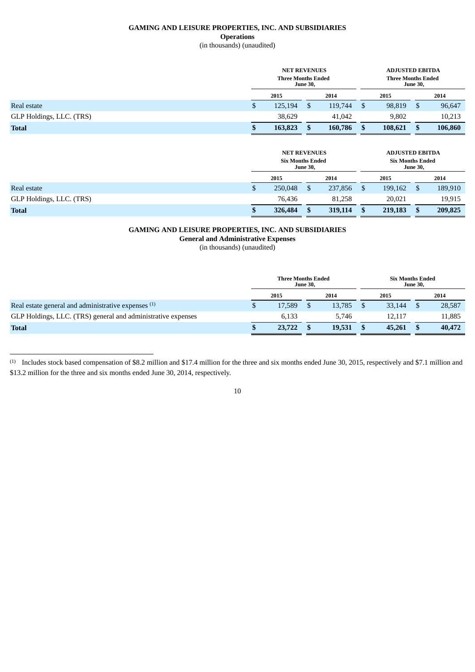# **GAMING AND LEISURE PROPERTIES, INC. AND SUBSIDIARIES Operations**

# (in thousands) (unaudited)

|                          | <b>NET REVENUES</b><br><b>Three Months Ended</b><br><b>June 30,</b> |         |  |         |               | <b>ADJUSTED EBITDA</b><br><b>Three Months Ended</b><br><b>June 30,</b> |  |         |  |  |
|--------------------------|---------------------------------------------------------------------|---------|--|---------|---------------|------------------------------------------------------------------------|--|---------|--|--|
|                          |                                                                     | 2015    |  | 2014    |               | 2015                                                                   |  | 2014    |  |  |
| Real estate              | D                                                                   | 125,194 |  | 119,744 | \$            | 98,819                                                                 |  | 96,647  |  |  |
| GLP Holdings, LLC. (TRS) |                                                                     | 38,629  |  | 41,042  |               | 9.802                                                                  |  | 10,213  |  |  |
| <b>Total</b>             |                                                                     | 163,823 |  | 160,786 | <sup>\$</sup> | 108,621                                                                |  | 106,860 |  |  |
|                          |                                                                     |         |  |         |               |                                                                        |  |         |  |  |

|                          | <b>NET REVENUES</b><br><b>Six Months Ended</b><br><b>June 30,</b> |  |         |               | <b>ADJUSTED EBITDA</b><br><b>Six Months Ended</b><br><b>June 30,</b> |  |         |  |  |
|--------------------------|-------------------------------------------------------------------|--|---------|---------------|----------------------------------------------------------------------|--|---------|--|--|
|                          | 2015                                                              |  | 2014    |               | 2015                                                                 |  | 2014    |  |  |
| Real estate              | \$<br>250,048                                                     |  | 237,856 | <sup>\$</sup> | 199,162                                                              |  | 189,910 |  |  |
| GLP Holdings, LLC. (TRS) | 76.436                                                            |  | 81.258  |               | 20,021                                                               |  | 19,915  |  |  |
| <b>Total</b>             | \$<br>326,484                                                     |  | 319,114 | \$            | 219,183                                                              |  | 209,825 |  |  |

# **GAMING AND LEISURE PROPERTIES, INC. AND SUBSIDIARIES**

**General and Administrative Expenses**

(in thousands) (unaudited)

|                                                              | <b>Three Months Ended</b><br><b>June 30.</b> |        |  |        |  | <b>Six Months Ended</b><br><b>June 30.</b> |  |        |  |
|--------------------------------------------------------------|----------------------------------------------|--------|--|--------|--|--------------------------------------------|--|--------|--|
|                                                              |                                              | 2015   |  | 2014   |  | 2015                                       |  | 2014   |  |
| Real estate general and administrative expenses (1)          |                                              | 17,589 |  | 13,785 |  | 33,144                                     |  | 28,587 |  |
| GLP Holdings, LLC. (TRS) general and administrative expenses |                                              | 6.133  |  | 5.746  |  | 12,117                                     |  | 11,885 |  |
| <b>Total</b>                                                 |                                              | 23,722 |  | 19,531 |  | 45,261                                     |  | 40,472 |  |

<sup>(1)</sup> Includes stock based compensation of \$8.2 million and \$17.4 million for the three and six months ended June 30, 2015, respectively and \$7.1 million and \$13.2 million for the three and six months ended June 30, 2014, respectively.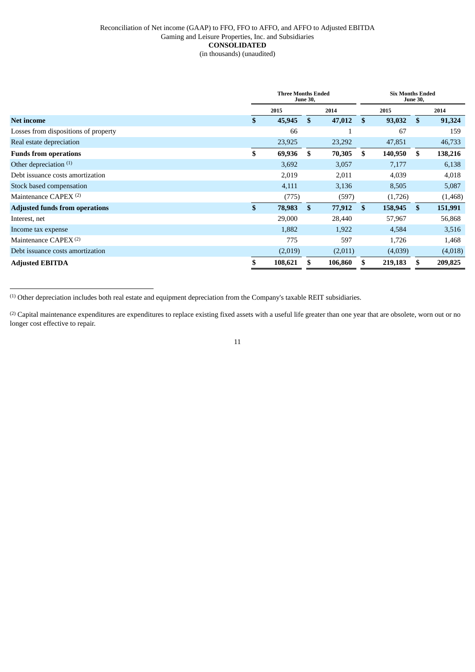## Reconciliation of Net income (GAAP) to FFO, FFO to AFFO, and AFFO to Adjusted EBITDA Gaming and Leisure Properties, Inc. and Subsidiaries **CONSOLIDATED** (in thousands) (unaudited)

|                                       | <b>Three Months Ended</b><br><b>June 30,</b> |         |     |         |               | <b>Six Months Ended</b><br><b>June 30,</b> |               |         |  |
|---------------------------------------|----------------------------------------------|---------|-----|---------|---------------|--------------------------------------------|---------------|---------|--|
|                                       |                                              | 2015    |     | 2014    |               | 2015                                       |               | 2014    |  |
| <b>Net income</b>                     | \$                                           | 45,945  | \$. | 47,012  | <sup>\$</sup> | 93,032                                     | -S            | 91,324  |  |
| Losses from dispositions of property  |                                              | 66      |     |         |               | 67                                         |               | 159     |  |
| Real estate depreciation              |                                              | 23,925  |     | 23,292  |               | 47,851                                     |               | 46,733  |  |
| <b>Funds from operations</b>          | \$                                           | 69,936  | \$  | 70,305  | \$            | 140,950                                    | \$.           | 138,216 |  |
| Other depreciation $(1)$              |                                              | 3,692   |     | 3,057   |               | 7,177                                      |               | 6,138   |  |
| Debt issuance costs amortization      |                                              | 2,019   |     | 2,011   |               | 4,039                                      |               | 4,018   |  |
| Stock based compensation              |                                              | 4,111   |     | 3,136   |               | 8,505                                      |               | 5,087   |  |
| Maintenance CAPEX <sup>(2)</sup>      |                                              | (775)   |     | (597)   |               | (1,726)                                    |               | (1,468) |  |
| <b>Adjusted funds from operations</b> | \$                                           | 78,983  | \$  | 77,912  | $\mathbf{s}$  | 158,945                                    | <sup>\$</sup> | 151,991 |  |
| Interest, net                         |                                              | 29,000  |     | 28,440  |               | 57,967                                     |               | 56,868  |  |
| Income tax expense                    |                                              | 1,882   |     | 1,922   |               | 4,584                                      |               | 3,516   |  |
| Maintenance $CAPEX^{(2)}$             |                                              | 775     |     | 597     |               | 1,726                                      |               | 1,468   |  |
| Debt issuance costs amortization      |                                              | (2,019) |     | (2,011) |               | (4,039)                                    |               | (4,018) |  |
| <b>Adjusted EBITDA</b>                |                                              | 108,621 |     | 106,860 |               | 219,183                                    |               | 209,825 |  |

(1) Other depreciation includes both real estate and equipment depreciation from the Company's taxable REIT subsidiaries.

<sup>(2)</sup> Capital maintenance expenditures are expenditures to replace existing fixed assets with a useful life greater than one year that are obsolete, worn out or no longer cost effective to repair.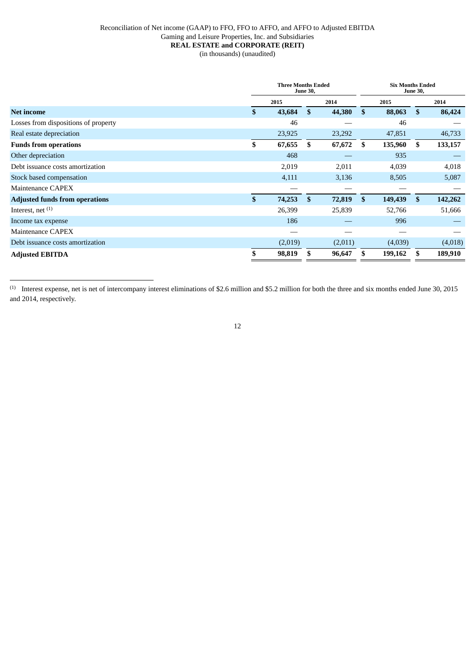## Reconciliation of Net income (GAAP) to FFO, FFO to AFFO, and AFFO to Adjusted EBITDA Gaming and Leisure Properties, Inc. and Subsidiaries **REAL ESTATE and CORPORATE (REIT)** (in thousands) (unaudited)

|                                       | <b>Three Months Ended</b><br><b>June 30,</b> |         |    |         | <b>Six Months Ended</b><br><b>June 30,</b> |         |              |         |
|---------------------------------------|----------------------------------------------|---------|----|---------|--------------------------------------------|---------|--------------|---------|
|                                       |                                              | 2015    |    | 2014    |                                            | 2015    |              | 2014    |
| <b>Net income</b>                     | \$                                           | 43,684  | \$ | 44,380  | \$                                         | 88,063  | \$           | 86,424  |
| Losses from dispositions of property  |                                              | 46      |    |         |                                            | 46      |              |         |
| Real estate depreciation              |                                              | 23,925  |    | 23,292  |                                            | 47,851  |              | 46,733  |
| <b>Funds from operations</b>          | \$                                           | 67,655  | \$ | 67,672  | \$                                         | 135,960 | \$           | 133,157 |
| Other depreciation                    |                                              | 468     |    |         |                                            | 935     |              |         |
| Debt issuance costs amortization      |                                              | 2,019   |    | 2,011   |                                            | 4,039   |              | 4,018   |
| Stock based compensation              |                                              | 4,111   |    | 3,136   |                                            | 8,505   |              | 5,087   |
| Maintenance CAPEX                     |                                              |         |    |         |                                            |         |              |         |
| <b>Adjusted funds from operations</b> | \$                                           | 74,253  | \$ | 72,819  | \$                                         | 149,439 | $\mathbf{s}$ | 142,262 |
| Interest, net $(1)$                   |                                              | 26,399  |    | 25,839  |                                            | 52,766  |              | 51,666  |
| Income tax expense                    |                                              | 186     |    |         |                                            | 996     |              |         |
| Maintenance CAPEX                     |                                              | __      |    |         |                                            |         |              |         |
| Debt issuance costs amortization      |                                              | (2,019) |    | (2,011) |                                            | (4,039) |              | (4,018) |
| <b>Adjusted EBITDA</b>                |                                              | 98,819  | S  | 96,647  |                                            | 199,162 |              | 189,910 |

 $^{(1)}$  Interest expense, net is net of intercompany interest eliminations of \$2.6 million and \$5.2 million for both the three and six months ended June 30, 2015 and 2014, respectively.